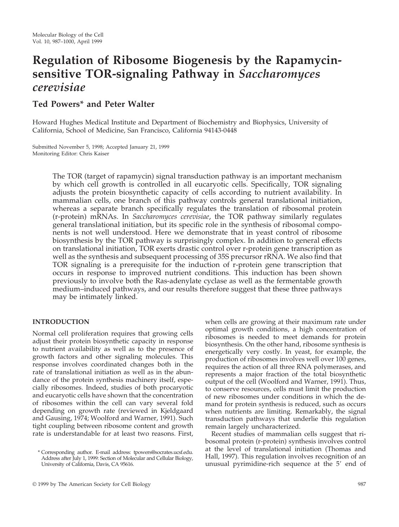# **Regulation of Ribosome Biogenesis by the Rapamycinsensitive TOR-signaling Pathway in** *Saccharomyces cerevisiae*

# **Ted Powers\* and Peter Walter**

Howard Hughes Medical Institute and Department of Biochemistry and Biophysics, University of California, School of Medicine, San Francisco, California 94143-0448

Submitted November 5, 1998; Accepted January 21, 1999 Monitoring Editor: Chris Kaiser

> The TOR (target of rapamycin) signal transduction pathway is an important mechanism by which cell growth is controlled in all eucaryotic cells. Specifically, TOR signaling adjusts the protein biosynthetic capacity of cells according to nutrient availability. In mammalian cells, one branch of this pathway controls general translational initiation, whereas a separate branch specifically regulates the translation of ribosomal protein (r-protein) mRNAs. In *Saccharomyces cerevisiae*, the TOR pathway similarly regulates general translational initiation, but its specific role in the synthesis of ribosomal components is not well understood. Here we demonstrate that in yeast control of ribosome biosynthesis by the TOR pathway is surprisingly complex. In addition to general effects on translational initiation, TOR exerts drastic control over r-protein gene transcription as well as the synthesis and subsequent processing of 35S precursor rRNA. We also find that TOR signaling is a prerequisite for the induction of r-protein gene transcription that occurs in response to improved nutrient conditions. This induction has been shown previously to involve both the Ras-adenylate cyclase as well as the fermentable growth medium–induced pathways, and our results therefore suggest that these three pathways may be intimately linked.

# **INTRODUCTION**

Normal cell proliferation requires that growing cells adjust their protein biosynthetic capacity in response to nutrient availability as well as to the presence of growth factors and other signaling molecules. This response involves coordinated changes both in the rate of translational initiation as well as in the abundance of the protein synthesis machinery itself, especially ribosomes. Indeed, studies of both procaryotic and eucaryotic cells have shown that the concentration of ribosomes within the cell can vary several fold depending on growth rate (reviewed in Kjeldgaard and Gausing, 1974; Woolford and Warner, 1991). Such tight coupling between ribosome content and growth rate is understandable for at least two reasons. First, when cells are growing at their maximum rate under optimal growth conditions, a high concentration of ribosomes is needed to meet demands for protein biosynthesis. On the other hand, ribosome synthesis is energetically very costly. In yeast, for example, the production of ribosomes involves well over 100 genes, requires the action of all three RNA polymerases, and represents a major fraction of the total biosynthetic output of the cell (Woolford and Warner, 1991). Thus, to conserve resources, cells must limit the production of new ribosomes under conditions in which the demand for protein synthesis is reduced, such as occurs when nutrients are limiting. Remarkably, the signal transduction pathways that underlie this regulation remain largely uncharacterized.

Recent studies of mammalian cells suggest that ribosomal protein (r-protein) synthesis involves control at the level of translational initiation (Thomas and Hall, 1997). This regulation involves recognition of an unusual pyrimidine-rich sequence at the  $5'$  end of

<sup>\*</sup> Corresponding author. E-mail address: tpowers@socrates.ucsf.edu. Address after July 1, 1999: Section of Molecular and Cellular Biology, University of California, Davis, CA 95616.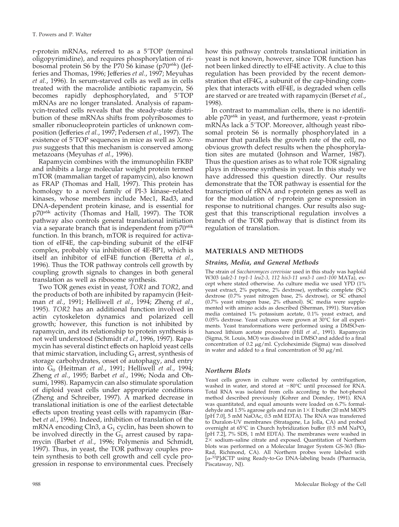r-protein mRNAs, referred to as a 5'TOP (terminal oligopyrimidine), and requires phosphorylation of ribosomal protein S6 by the P70 S6 kinase (p70<sup>s6k</sup>) (Jefferies and Thomas, 1996; Jefferies *et al.*, 1997; Meyuhas *et al.*, 1996). In serum-starved cells as well as in cells treated with the macrolide antibiotic rapamycin, S6 becomes rapidly dephosphorylated, and 5'TOP mRNAs are no longer translated. Analysis of rapamycin-treated cells reveals that the steady-state distribution of these mRNAs shifts from polyribosomes to smaller ribonucleoprotein particles of unknown composition (Jefferies *et al.*, 1997; Pedersen *et al.*, 1997). The existence of 5'TOP sequences in mice as well as *Xenopus* suggests that this mechanism is conserved among metazoans (Meyuhas *et al.*, 1996).

Rapamycin combines with the immunophilin FKBP and inhibits a large molecular weight protein termed mTOR (mammalian target of rapamycin), also known as FRAP (Thomas and Hall, 1997). This protein has homology to a novel family of PI-3 kinase–related kinases, whose members include Mec1, Rad3, and DNA-dependent protein kinase, and is essential for p70s6k activity (Thomas and Hall, 1997). The TOR pathway also controls general translational initiation via a separate branch that is independent from p70<sup>s6k</sup> function. In this branch, mTOR is required for activation of eIF4E, the cap-binding subunit of the eIF4F complex, probably via inhibition of 4E-BP1, which is itself an inhibitor of eIF4E function (Beretta *et al.*, 1996). Thus the TOR pathway controls cell growth by coupling growth signals to changes in both general translation as well as ribosome synthesis.

Two TOR genes exist in yeast, *TOR1* and *TOR2*, and the products of both are inhibited by rapamycin (Heitman *et al.*, 1991; Helliwell *et al.*, 1994; Zheng *et al.*, 1995). *TOR2* has an additional function involved in actin cytoskeleton dynamics and polarized cell growth; however, this function is not inhibited by rapamycin, and its relationship to protein synthesis is not well understood (Schmidt *et al.*, 1996, 1997). Rapamycin has several distinct effects on haploid yeast cells that mimic starvation, including  $G_1$  arrest, synthesis of storage carbohydrates, onset of autophagy, and entry into G0 (Heitman *et al.*, 1991; Helliwell *et al.*, 1994; Zheng *et al.*, 1995; Barbet *et al.*, 1996; Noda and Ohsumi, 1998). Rapamycin can also stimulate sporulation of diploid yeast cells under appropriate conditions (Zheng and Schreiber, 1997). A marked decrease in translational initiation is one of the earliest detectable effects upon treating yeast cells with rapamycin (Barbet *et al.*, 1996). Indeed, inhibition of translation of the mRNA encoding Cln3, a  $G_1$  cyclin, has been shown to be involved directly in the  $G_1$  arrest caused by rapamycin (Barbet *et al.*, 1996; Polymenis and Schmidt, 1997). Thus, in yeast, the TOR pathway couples protein synthesis to both cell growth and cell cycle progression in response to environmental cues. Precisely how this pathway controls translational initiation in yeast is not known, however, since TOR function has not been linked directly to eIF4E activity. A clue to this regulation has been provided by the recent demonstration that eIF4G, a subunit of the cap-binding complex that interacts with eIF4E, is degraded when cells are starved or are treated with rapamycin (Berset *et al.*, 1998).

In contrast to mammalian cells, there is no identifiable  $p70^{s6k}$  in yeast, and furthermore, yeast r-protein mRNAs lack a 5'TOP. Moreover, although yeast ribosomal protein S6 is normally phosphorylated in a manner that parallels the growth rate of the cell, no obvious growth defect results when the phosphorylation sites are mutated (Johnson and Warner, 1987). Thus the question arises as to what role TOR signaling plays in ribosome synthesis in yeast. In this study we have addressed this question directly. Our results demonstrate that the TOR pathway is essential for the transcription of rRNA and r-protein genes as well as for the modulation of r-protein gene expression in response to nutritional changes. Our results also suggest that this transcriptional regulation involves a branch of the TOR pathway that is distinct from its regulation of translation.

# **MATERIALS AND METHODS**

# *Strains, Media, and General Methods*

The strain of *Saccharomyces cerevisiae* used in this study was haploid W303 (*ade2-1 trp1-1 leu2-3, 112 his3-11 ura3-1 can1-100* MATa), except where stated otherwise. As culture media we used YPD (1% yeast extract, 2% peptone, 2% dextrose), synthetic complete (SC) dextrose (0.7% yeast nitrogen base, 2% dextrose), or SC ethanol (0.7% yeast nitrogen base, 2% ethanol). SC media were supplemented with amino acids as described (Sherman, 1991). Starvation media contained 1% potassium acetate, 0.1% yeast extract, and 0.05% dextrose. Yeast cultures were grown at 30°C for all experiments. Yeast transformations were performed using a DMSO-enhanced lithium acetate procedure (Hill *et al.*, 1991). Rapamycin (Sigma, St. Louis, MO) was dissolved in DMSO and added to a final concentration of 0.2  $\mu$ g/ml. Cycloheximide (Sigma) was dissolved in water and added to a final concentration of 50  $\mu$ g/ml.

# *Northern Blots*

Yeast cells grown in culture were collected by centrifugation, washed in water, and stored at  $-80^{\circ}$ C until processed for RNA. Total RNA was isolated from cells according to the hot-phenol method described previously (Kohrer and Domdey, 1991). RNA was quantitated, and equal amounts were loaded on 6.7% formaldehyde and 1.5% agarose gels and run in  $1\times$  E buffer (20 mM MOPS [pH 7.0], 5 mM NaOAc, 0.5 mM EDTA). The RNA was transferred to Duralon-UV membranes (Stratagene, La Jolla, CA) and probed overnight at 65°C in Church hybridization buffer (0.5 mM NaPO4 [pH 7.2], 7% SDS, 1 mM EDTA). The membranes were washed in  $2 \times$  sodium–saline citrate and exposed. Quantitation of Northern blots was performed on a Molecular Imager System GS-363 (Bio-Rad, Richmond, CA). All Northern probes were labeled with [a-32P]dCTP using Ready-to-Go DNA-labeling beads (Pharmacia, Piscataway, NJ).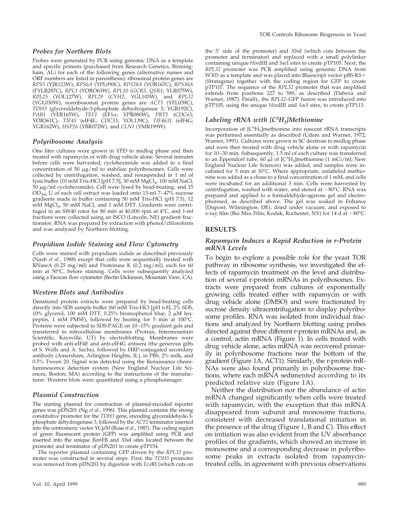#### *Probes for Northern Blots*

Probes were generated by PCR using genomic DNA as a template and specific primers (purchased from Research Genetics, Birmingham, AL) for each of the following genes (alternative names and ORF numbers are listed in parenthesis): ribosomal protein genes are *RPS5* (YJR123W), *RPS6A* (YPL090C), *RPS28A* (YOR167C), *RPS30A* (FYLR287C), *RPL3* (YORO63W), *RPL10* (*GCR5*, *QSR1*; YLR075W), *RPL25* (YOL127W), *RPL29* (*CYH2*; YGL103W), and *RPL32* (YGL030W); nonribosomal protein genes are *ACT1* (YFL039C), *TDH3* (glyceraldehyde-3-phosphate dehydrogenase 3; YGR192C), *PAB1* (YER165W), *TEF1* (EF1a; YPR080W), *PRT1* (*CDC63*; YOR361C), *TIF45* (eIF4E, *CDC33*; YOL139C), *TIF4631* (eIF4G; YGR162W), *HSP26* (YBR072W), and *CLN1* (YMR199W).

### *Polyribosome Analysis*

One liter cultures were grown in YPD to midlog phase and then treated with rapamycin or with drug vehicle alone. Several minutes before cells were harvested, cycloheximide was added to a final concentration of 50  $\mu$ g/ml to stabilize polyribosomes. Cells were collected by centrifugation, washed, and resuspended in 1 ml of lysis buffer (10 mM Tris-HCl [pH 7.5], 30 mM MgCl<sub>2</sub>, 100 mM NaCl,  $50 \mu$ g/ml cycloheximide). Cell were lysed by bead-beating, and 15  $OD_{260}$  U of each cell extract was loaded onto 13-ml 7–47% sucrose gradients made in buffer containing 50 mM Tris-HCl (pH 7.5), 12 mM MgCl<sub>2</sub>, 50 mM NaCl, and 1 mM DTT. Gradients were centrifuged in an SW40 rotor for 80 min at 40,000 rpm at 4°C, and 1-ml fractions were collected using an ISCO (Lincoln, NE) gradient fractionator. RNA was prepared by extraction with phenol/chloroform and was analyzed by Northern blotting.

### *Propidium Iodide Staining and Flow Cytometry*

Cells were stained with propidium iodide as described previously (Nash *et al.*, 1988) except that cells were sequentially treated with RNaseA (0.25 mg/ml) and Proteinase K (0.2 mg/ml), each for 60 min at 50°C, before staining. Cells were subsequently analyzed using a Facscan flow cytometer (Bectin Dickinson, Mountain View, CA).

### *Western Blots and Antibodies*

Denatured protein extracts were prepared by bead-beating cells directly into SDS sample buffer (60 mM Tris-HCl [pH 6.8], 2% SDS, 10% glycerol, 100 mM DTT, 0.25% bromophenol blue, 2  $\mu$ M leupeptin, 1 mM PMSF), followed by heating for 5 min at 100°C. Proteins were subjected to SDS-PAGE on 10–15% gradient gels and transferred to nitrocellulose membranes (Protran, Intermountain Scientific, Kaysville, UT) by electroblotting. Membranes were probed with anti-eIF4E and anti-eIF4G antisera (the generous gifts of S. Wells and A. Sachs), followed by HRP-conjugated secondary antibody (Amersham, Arlington Heights, IL), in PBS, 2% milk, and 0.5% Tween 20. Signal was detected using the Renaissance chemiluminescence detection system (New England Nuclear Life Sciences, Boston, MA) according to the instructions of the manufacturer. Western blots were quantitated using a phosphoimager.

### *Plasmid Construction*

The starting plasmid for construction of plasmid-encoded reporter genes was pDN201 (Ng *et al.*, 1996). This plasmid contains the strong constitutive promoter for the *TDH3* gene, encoding glyceraldehyde-3 phosphate dehydrogenase 3, followed by the *ACT1* terminator inserted into the centromeric vector YCp50 (Rose *et al.*, 1987). The coding region of green fluorescent protein (GFP) was amplified using PCR and inserted into the unique *Bam*HI and *Xba*I sites located between the promoter and terminator of pDN201 to create pTP154.

The reporter plasmid containing GFP driven by the *RPL32* promoter was constructed in several steps. First, the *TDH3* promoter was removed from pDN201 by digestion with *Eco*RI (which cuts on the 59 side of the promoter) and *Xba*I (which cuts between the promoter and terminator) and replaced with a small polylinker containing unique *Hin*dIII and *Sac*I sites to create pTP105. Next, the *RPL32* promoter was PCR amplified using genomic DNA from W303 as a template and was placed into Bluescript vector pBS-KS+ (Stratagene) together with the coding region for GFP to create pTP107. The sequence of the *RPL32* promoter that was amplified extends from positions 227 to 589, as described (Dabeva and Warner, 1987). Finally, the *RPL32*–GFP fusion was introduced into pTP105, using the unique *Hin*dIII and *Sac*I sites, to create pTP113.

# *Labeling rRNA with [C3 H3]Methionine*

Incorporation of [C<sup>3</sup>H<sub>3</sub>]methionine into nascent rRNA transcripts was performed essentially as described (Udem and Warner, 1972; Warner, 1991). Cultures were grown in SC dextrose to midlog phase and were then treated with drug vehicle alone or with rapamycin for 10–30 min. Subsequently, 1.5 ml of each culture was transferred to an Eppendorf tube, 60  $\mu$ l of [C<sup>3</sup>H<sub>3</sub>]methionine (1 mCi/ml; New England Nuclear Life Sciences) was added, and samples were incubated for 5 min at 30°C. Where appropriate, unlabeled methionine was added as a chase to a final concentration of 1 mM, and cells were incubated for an additional 3 min. Cells were harvested by centrifugation, washed with water, and stored at  $-80^{\circ}$ C. RNA was prepared and applied to a formaldehyde-agarose gel and electrophoresed, as described above. The gel was soaked in Enhance (Dupont, Wilmington, DE), dried under vacuum, and exposed to x-ray film (Bio Max Film; Kodak, Rochester, NY) for 14 d at  $-80^{\circ}$ C.

# **RESULTS**

### *Rapamycin Induces a Rapid Reduction in r-Protein mRNA Levels*

To begin to explore a possible role for the yeast TOR pathway in ribosome synthesis, we investigated the effects of rapamycin treatment on the level and distribution of several r-protein mRNAs in polyribosomes. Extracts were prepared from cultures of exponentially growing cells treated either with rapamycin or with drug vehicle alone (DMSO) and were fractionated by sucrose density ultracentrifugation to display polyribosome profiles. RNA was isolated from individual fractions and analyzed by Northern blotting using probes directed against three different r-protein mRNAs and, as a control, actin mRNA (Figure 1). In cells treated with drug vehicle alone, actin mRNA was recovered primarily in polyribosome fractions near the bottom of the gradient (Figure 1A, ACT1). Similarly, the r-protein mR-NAs were also found primarily in polyribosome fractions, where each mRNA sedimented according to its predicted relative size (Figure 1A).

Neither the distribution nor the abundance of actin mRNA changed significantly when cells were treated with rapamycin, with the exception that this mRNA disappeared from subunit and monosome fractions, consistent with decreased translational initiation in the presence of the drug (Figure 1, B and C). This effect on initiation was also evident from the UV absorbance profiles of the gradients, which showed an increase in monosome and a corresponding decrease in polyribosome peaks in extracts isolated from rapamycintreated cells, in agreement with previous observations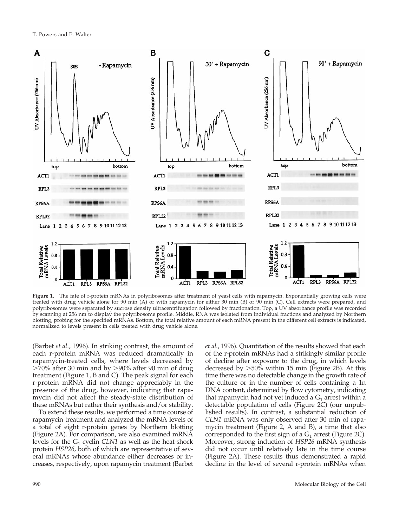

**Figure 1.** The fate of r-protein mRNAs in polyribosomes after treatment of yeast cells with rapamycin. Exponentially growing cells were treated with drug vehicle alone for 90 min (A) or with rapamycin for either 30 min (B) or 90 min (C). Cell extracts were prepared, and polyribosomes were separated by sucrose density ultracentrifugation followed by fractionation. Top, a UV absorbance profile was recorded by scanning at 256 nm to display the polyribosome profile. Middle, RNA was isolated from individual fractions and analyzed by Northern blotting, probing for the specified mRNAs. Bottom, the total relative amount of each mRNA present in the different cell extracts is indicated, normalized to levels present in cells treated with drug vehicle alone.

(Barbet *et al.*, 1996). In striking contrast, the amount of each r-protein mRNA was reduced dramatically in rapamycin-treated cells, where levels decreased by  $>70\%$  after 30 min and by  $>90\%$  after 90 min of drug treatment (Figure 1, B and C). The peak signal for each r-protein mRNA did not change appreciably in the presence of the drug, however, indicating that rapamycin did not affect the steady-state distribution of these mRNAs but rather their synthesis and/or stability.

To extend these results, we performed a time course of rapamycin treatment and analyzed the mRNA levels of a total of eight r-protein genes by Northern blotting (Figure 2A). For comparison, we also examined mRNA levels for the  $G_1$  cyclin *CLN1* as well as the heat-shock protein *HSP26*, both of which are representative of several mRNAs whose abundance either decreases or increases, respectively, upon rapamycin treatment (Barbet *et al.*, 1996). Quantitation of the results showed that each of the r-protein mRNAs had a strikingly similar profile of decline after exposure to the drug, in which levels decreased by  $>50\%$  within 15 min (Figure 2B). At this time there was no detectable change in the growth rate of the culture or in the number of cells containing a 1n DNA content, determined by flow cytometry, indicating that rapamycin had not yet induced a  $G_1$  arrest within a detectable population of cells (Figure 2C) (our unpublished results). In contrast, a substantial reduction of *CLN1* mRNA was only observed after 30 min of rapamycin treatment (Figure 2, A and B), a time that also corresponded to the first sign of a  $G_1$  arrest (Figure 2C). Moreover, strong induction of *HSP26* mRNA synthesis did not occur until relatively late in the time course (Figure 2A). These results thus demonstrated a rapid decline in the level of several r-protein mRNAs when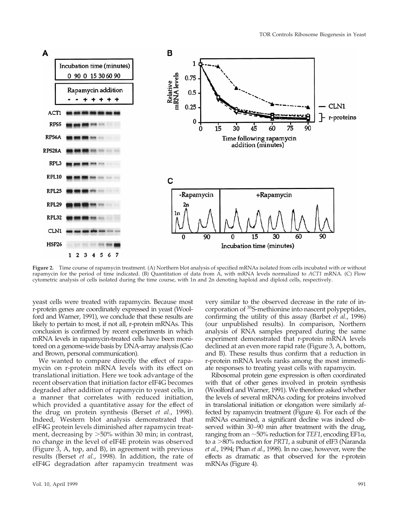

**Figure 2.** Time course of rapamycin treatment. (A) Northern blot analysis of specified mRNAs isolated from cells incubated with or without rapamycin for the period of time indicated. (B) Quantitation of data from A, with mRNA levels normalized to *ACT1* mRNA. (C) Flow cytometric analysis of cells isolated during the time course, with 1n and 2n denoting haploid and diploid cells, respectively.

yeast cells were treated with rapamycin. Because most r-protein genes are coordinately expressed in yeast (Woolford and Warner, 1991), we conclude that these results are likely to pertain to most, if not all, r-protein mRNAs. This conclusion is confirmed by recent experiments in which mRNA levels in rapamycin-treated cells have been monitored on a genome-wide basis by DNA-array analysis (Cao and Brown, personal communication).

We wanted to compare directly the effect of rapamycin on r-protein mRNA levels with its effect on translational initiation. Here we took advantage of the recent observation that initiation factor eIF4G becomes degraded after addition of rapamycin to yeast cells, in a manner that correlates with reduced initiation, which provided a quantitative assay for the effect of the drug on protein synthesis (Berset *et al.*, 1998). Indeed, Western blot analysis demonstrated that eIF4G protein levels diminished after rapamycin treatment, decreasing by  $>50\%$  within 30 min; in contrast, no change in the level of eIF4E protein was observed (Figure 3, A, top, and B), in agreement with previous results (Berset *et al.*, 1998). In addition, the rate of eIF4G degradation after rapamycin treatment was

very similar to the observed decrease in the rate of incorporation of 35S-methionine into nascent polypeptides, confirming the utility of this assay (Barbet *et al.*, 1996) (our unpublished results). In comparison, Northern analysis of RNA samples prepared during the same experiment demonstrated that r-protein mRNA levels declined at an even more rapid rate (Figure 3, A, bottom, and B). These results thus confirm that a reduction in r-protein mRNA levels ranks among the most immediate responses to treating yeast cells with rapamycin.

Ribosomal protein gene expression is often coordinated with that of other genes involved in protein synthesis (Woolford and Warner, 1991). We therefore asked whether the levels of several mRNAs coding for proteins involved in translational initiation or elongation were similarly affected by rapamycin treatment (Figure 4). For each of the mRNAs examined, a significant decline was indeed observed within 30–90 min after treatment with the drug, ranging from an  $\sim$ 50% reduction for *TEF1*, encoding EF1 $\alpha$ , to a  $>80\%$  reduction for *PRT1*, a subunit of eIF3 (Naranda *et al.*, 1994; Phan *et al.*, 1998). In no case, however, were the effects as dramatic as that observed for the r-protein mRNAs (Figure 4).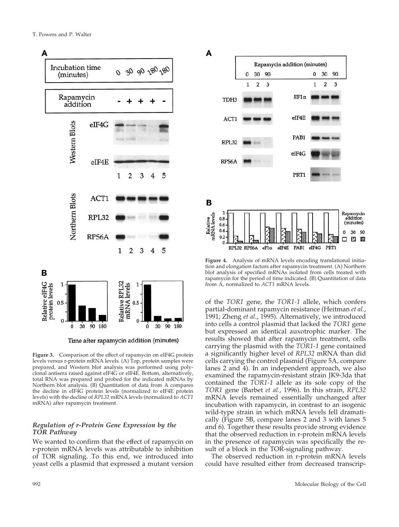

Time after rapamycin addition (minutes)

**Figure 3.** Comparison of the effect of rapamycin on eIF4G protein levels versus r-protein mRNA levels. (A) Top, protein samples were prepared, and Western blot analysis was performed using polyclonal antisera raised against eIF4G or eIF4E. Bottom, alternatively, total RNA was prepared and probed for the indicated mRNAs by Northern blot analysis. (B) Quantitation of data from A compares the decline in eIF4G protein levels (normalized to eIF4E protein levels) with the decline of *RPL32* mRNA levels (normalized to *ACT1* mRNA) after rapamycin treatment.

# *Regulation of r-Protein Gene Expression by the TOR Pathway*

We wanted to confirm that the effect of rapamycin on r-protein mRNA levels was attributable to inhibition of TOR signaling. To this end, we introduced into yeast cells a plasmid that expressed a mutant version



**Figure 4.** Analysis of mRNA levels encoding translational initiation and elongation factors after rapamycin treatment. (A) Northern blot analysis of specified mRNAs isolated from cells treated with rapamycin for the period of time indicated. (B) Quantitation of data from A, normalized to *ACT1* mRNA levels.

of the *TOR1* gene, the *TOR1-1* allele, which confers partial-dominant rapamycin resistance (Heitman *et al.*, 1991; Zheng *et al.*, 1995). Alternatively, we introduced into cells a control plasmid that lacked the *TOR1* gene but expressed an identical auxotrophic marker. The results showed that after rapamycin treatment, cells carrying the plasmid with the *TOR1-1* gene contained a significantly higher level of *RPL32* mRNA than did cells carrying the control plasmid (Figure 5A, compare lanes 2 and 4). In an independent approach, we also examined the rapamycin-resistant strain JK9-3da that contained the *TOR1-1* allele as its sole copy of the *TOR1* gene (Barbet *et al.*, 1996). In this strain, *RPL32* mRNA levels remained essentially unchanged after incubation with rapamycin, in contrast to an isogenic wild-type strain in which mRNA levels fell dramatically (Figure 5B, compare lanes 2 and 3 with lanes 5 and 6). Together these results provide strong evidence that the observed reduction in r-protein mRNA levels in the presence of rapamycin was specifically the result of a block in the TOR-signaling pathway.

The observed reduction in r-protein mRNA levels could have resulted either from decreased transcrip-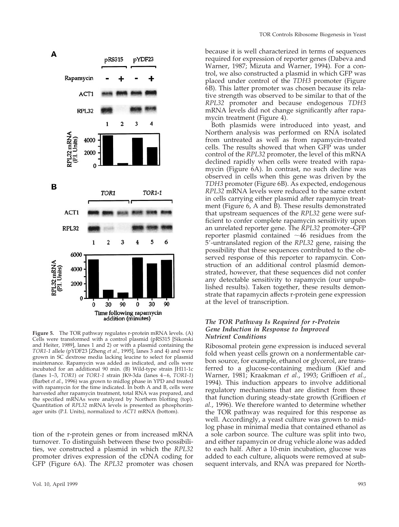

**Figure 5.** The TOR pathway regulates r-protein mRNA levels. (A) Cells were transformed with a control plasmid (pRS315 [Sikorski and Heiter, 1989], lanes 1 and 2) or with a plasmid containing the *TOR1-1* allele (pYDF23 [Zheng *et al.*, 1995], lanes 3 and 4) and were grown in SC dextrose media lacking leucine to select for plasmid maintenance. Rapamycin was added as indicated, and cells were incubated for an additional 90 min. (B) Wild-type strain JH11-1c (lanes 1–3, *TOR1*) or *TOR1-1* strain JK9-3da (lanes 4–6, *TOR1-1*) (Barbet *et al.*, 1996) was grown to midlog phase in YPD and treated with rapamycin for the time indicated. In both A and B, cells were harvested after rapamycin treatment, total RNA was prepared, and the specified mRNAs were analyzed by Northern blotting (top). Quantitation of *RPL32* mRNA levels is presented as phosphorimager units (P.I. Units), normalized to *ACT1* mRNA (bottom).

tion of the r-protein genes or from increased mRNA turnover. To distinguish between these two possibilities, we constructed a plasmid in which the *RPL32* promoter drives expression of the cDNA coding for GFP (Figure 6A). The *RPL32* promoter was chosen

because it is well characterized in terms of sequences required for expression of reporter genes (Dabeva and Warner, 1987; Mizuta and Warner, 1994). For a control, we also constructed a plasmid in which GFP was placed under control of the *TDH3* promoter (Figure 6B). This latter promoter was chosen because its relative strength was observed to be similar to that of the *RPL32* promoter and because endogenous *TDH3* mRNA levels did not change significantly after rapamycin treatment (Figure 4).

Both plasmids were introduced into yeast, and Northern analysis was performed on RNA isolated from untreated as well as from rapamycin-treated cells. The results showed that when GFP was under control of the *RPL32* promoter, the level of this mRNA declined rapidly when cells were treated with rapamycin (Figure 6A). In contrast, no such decline was observed in cells when this gene was driven by the *TDH3* promoter (Figure 6B). As expected, endogenous *RPL32* mRNA levels were reduced to the same extent in cells carrying either plasmid after rapamycin treatment (Figure 6, A and B). These results demonstrated that upstream sequences of the *RPL32* gene were sufficient to confer complete rapamycin sensitivity upon an unrelated reporter gene. The *RPL32* promoter–GFP reporter plasmid contained  $~16$  residues from the 59-untranslated region of the *RPL32* gene, raising the possibility that these sequences contributed to the observed response of this reporter to rapamycin. Construction of an additional control plasmid demonstrated, however, that these sequences did not confer any detectable sensitivity to rapamycin (our unpublished results). Taken together, these results demonstrate that rapamycin affects r-protein gene expression at the level of transcription.

### *The TOR Pathway Is Required for r-Protein Gene Induction in Response to Improved Nutrient Conditions*

Ribosomal protein gene expression is induced several fold when yeast cells grown on a nonfermentable carbon source, for example, ethanol or glycerol, are transferred to a glucose-containing medium (Kief and Warner, 1981; Kraakman *et al.*, 1993; Griffioen *et al.*, 1994). This induction appears to involve additional regulatory mechanisms that are distinct from those that function during steady-state growth (Griffioen *et al.*, 1996). We therefore wanted to determine whether the TOR pathway was required for this response as well. Accordingly, a yeast culture was grown to midlog phase in minimal media that contained ethanol as a sole carbon source. The culture was split into two, and either rapamycin or drug vehicle alone was added to each half. After a 10-min incubation, glucose was added to each culture, aliquots were removed at subsequent intervals, and RNA was prepared for North-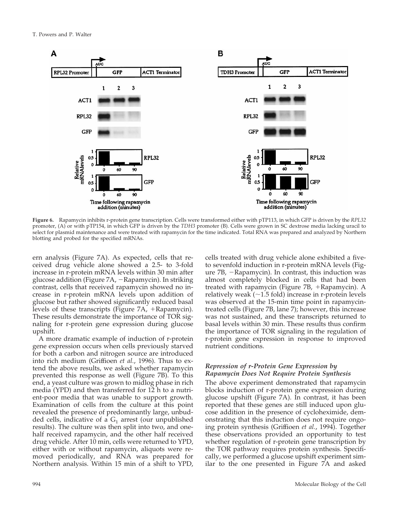

**Figure 6.** Rapamycin inhibits r-protein gene transcription. Cells were transformed either with pTP113, in which GFP is driven by the *RPL32* promoter, (A) or with pTP154, in which GFP is driven by the *TDH3* promoter (B). Cells were grown in SC dextrose media lacking uracil to select for plasmid maintenance and were treated with rapamycin for the time indicated. Total RNA was prepared and analyzed by Northern blotting and probed for the specified mRNAs.

ern analysis (Figure 7A). As expected, cells that received drug vehicle alone showed a 2.5- to 3-fold increase in r-protein mRNA levels within 30 min after glucose addition (Figure 7A, -Rapamycin). In striking contrast, cells that received rapamycin showed no increase in r-protein mRNA levels upon addition of glucose but rather showed significantly reduced basal levels of these transcripts (Figure  $7A$ , +Rapamycin). These results demonstrate the importance of TOR signaling for r-protein gene expression during glucose upshift.

A more dramatic example of induction of r-protein gene expression occurs when cells previously starved for both a carbon and nitrogen source are introduced into rich medium (Griffioen *et al.*, 1996). Thus to extend the above results, we asked whether rapamycin prevented this response as well (Figure 7B). To this end, a yeast culture was grown to midlog phase in rich media (YPD) and then transferred for 12 h to a nutrient-poor media that was unable to support growth. Examination of cells from the culture at this point revealed the presence of predominantly large, unbudded cells, indicative of a  $G_1$  arrest (our unpublished results). The culture was then split into two, and onehalf received rapamycin, and the other half received drug vehicle. After 10 min, cells were returned to YPD, either with or without rapamycin, aliquots were removed periodically, and RNA was prepared for Northern analysis. Within 15 min of a shift to YPD, cells treated with drug vehicle alone exhibited a fiveto sevenfold induction in r-protein mRNA levels (Figure  $7B$ ,  $-Rapamycin$ ). In contrast, this induction was almost completely blocked in cells that had been treated with rapamycin (Figure  $7B$ , +Rapamycin). A relatively weak  $(\sim1.5$  fold) increase in r-protein levels was observed at the 15-min time point in rapamycintreated cells (Figure 7B, lane 7); however, this increase was not sustained, and these transcripts returned to basal levels within 30 min. These results thus confirm the importance of TOR signaling in the regulation of r-protein gene expression in response to improved nutrient conditions.

# *Repression of r-Protein Gene Expression by Rapamycin Does Not Require Protein Synthesis*

The above experiment demonstrated that rapamycin blocks induction of r-protein gene expression during glucose upshift (Figure 7A). In contrast, it has been reported that these genes are still induced upon glucose addition in the presence of cycloheximide, demonstrating that this induction does not require ongoing protein synthesis (Griffioen *et al.*, 1994). Together these observations provided an opportunity to test whether regulation of r-protein gene transcription by the TOR pathway requires protein synthesis. Specifically, we performed a glucose upshift experiment similar to the one presented in Figure 7A and asked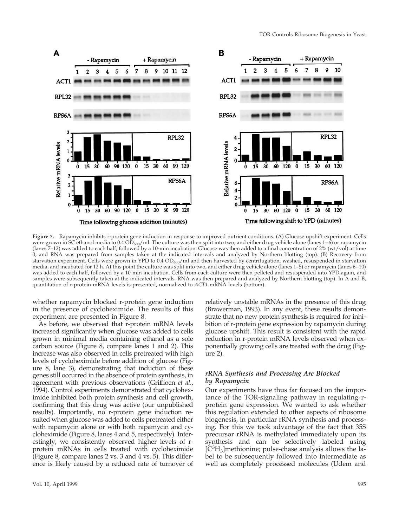

**Figure 7.** Rapamycin inhibits r-protein gene induction in response to improved nutrient conditions. (A) Glucose upshift experiment. Cells were grown in SC ethanol media to  $0.4 \overline{OD}_{600}/m$ . The culture was then split into two, and either drug vehicle alone (lanes 1–6) or rapamycin (lanes 7–12) was added to each half, followed by a 10-min incubation. Glucose was then added to a final concentration of 2% (wt/vol) at time 0, and RNA was prepared from samples taken at the indicated intervals and analyzed by Northern blotting (top). (B) Recovery from starvation experiment. Cells were grown in YPD to 0.4 OD<sub>600</sub>/ml and then harvested by centrifugation, washed, resuspended in starvation media, and incubated for 12 h. At this point the culture was split into two, and either drug vehicle alone (lanes 1–5) or rapamycin (lanes 6–10) was added to each half, followed by a 10-min incubation. Cells from each culture were then pelleted and resuspended into YPD again, and samples were subsequently taken at the indicated intervals. RNA was then prepared and analyzed by Northern blotting (top). In A and B, quantitation of r-protein mRNA levels is presented, normalized to *ACT1* mRNA levels (bottom).

whether rapamycin blocked r-protein gene induction in the presence of cycloheximide. The results of this experiment are presented in Figure 8.

As before, we observed that r-protein mRNA levels increased significantly when glucose was added to cells grown in minimal media containing ethanol as a sole carbon source (Figure 8, compare lanes 1 and 2). This increase was also observed in cells pretreated with high levels of cycloheximide before addition of glucose (Figure 8, lane 3), demonstrating that induction of these genes still occurred in the absence of protein synthesis, in agreement with previous observations (Griffioen *et al.*, 1994). Control experiments demonstrated that cycloheximide inhibited both protein synthesis and cell growth, confirming that this drug was active (our unpublished results). Importantly, no r-protein gene induction resulted when glucose was added to cells pretreated either with rapamycin alone or with both rapamycin and cycloheximide (Figure 8, lanes 4 and 5, respectively). Interestingly, we consistently observed higher levels of rprotein mRNAs in cells treated with cycloheximide (Figure 8, compare lanes 2 vs. 3 and 4 vs. 5). This difference is likely caused by a reduced rate of turnover of relatively unstable mRNAs in the presence of this drug (Brawerman, 1993). In any event, these results demonstrate that no new protein synthesis is required for inhibition of r-protein gene expression by rapamycin during glucose upshift. This result is consistent with the rapid reduction in r-protein mRNA levels observed when exponentially growing cells are treated with the drug (Figure 2).

# *rRNA Synthesis and Processing Are Blocked by Rapamycin*

Our experiments have thus far focused on the importance of the TOR-signaling pathway in regulating rprotein gene expression. We wanted to ask whether this regulation extended to other aspects of ribosome biogenesis, in particular rRNA synthesis and processing. For this we took advantage of the fact that 35S precursor rRNA is methylated immediately upon its synthesis and can be selectively labeled using [C3 H3]methionine; pulse-chase analysis allows the label to be subsequently followed into intermediate as well as completely processed molecules (Udem and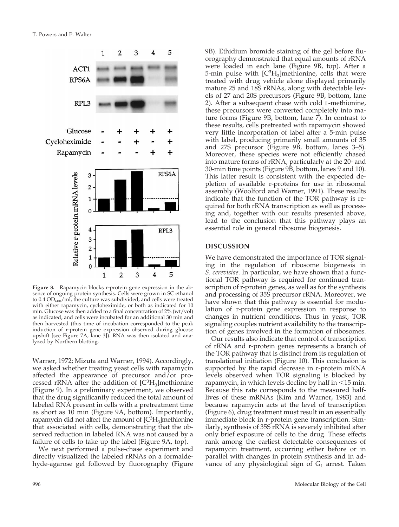

**Figure 8.** Rapamycin blocks r-protein gene expression in the absence of ongoing protein synthesis. Cells were grown in SC ethanol to  $0.4$  OD<sub>600</sub>/ml, the culture was subdivided, and cells were treated with either rapamycin, cycloheximide, or both as indicated for 10 min. Glucose was then added to a final concentration of 2% (wt/vol) as indicated, and cells were incubated for an additional 30 min and then harvested (this time of incubation corresponded to the peak induction of r-protein gene expression observed during glucose upshift [see Figure 7A, lane 3]). RNA was then isolated and analyzed by Northern blotting.

Warner, 1972; Mizuta and Warner, 1994). Accordingly, we asked whether treating yeast cells with rapamycin affected the appearance of precursor and/or processed rRNA after the addition of  $[C^3H_3]$ methionine (Figure 9). In a preliminary experiment, we observed that the drug significantly reduced the total amount of labeled RNA present in cells with a pretreatment time as short as 10 min (Figure 9A, bottom). Importantly, rapamycin did not affect the amount of [C<sup>3</sup>H<sub>3</sub>]methionine that associated with cells, demonstrating that the observed reduction in labeled RNA was not caused by a failure of cells to take up the label (Figure 9A, top).

We next performed a pulse-chase experiment and directly visualized the labeled rRNAs on a formaldehyde-agarose gel followed by fluorography (Figure 9B). Ethidium bromide staining of the gel before fluorography demonstrated that equal amounts of rRNA were loaded in each lane (Figure 9B, top). After a 5-min pulse with [C<sup>3</sup>H<sub>3</sub>]methionine, cells that were treated with drug vehicle alone displayed primarily mature 25 and 18S rRNAs, along with detectable levels of 27 and 20S precursors (Figure 9B, bottom, lane 2). After a subsequent chase with cold l-methionine, these precursors were converted completely into mature forms (Figure 9B, bottom, lane 7). In contrast to these results, cells pretreated with rapamycin showed very little incorporation of label after a 5-min pulse with label, producing primarily small amounts of 35 and 27S precursor (Figure 9B, bottom, lanes 3–5). Moreover, these species were not efficiently chased into mature forms of rRNA, particularly at the 20- and 30-min time points (Figure 9B, bottom, lanes 9 and 10). This latter result is consistent with the expected depletion of available r-proteins for use in ribosomal assembly (Woolford and Warner, 1991). These results indicate that the function of the TOR pathway is required for both rRNA transcription as well as processing and, together with our results presented above, lead to the conclusion that this pathway plays an essential role in general ribosome biogenesis.

# **DISCUSSION**

We have demonstrated the importance of TOR signaling in the regulation of ribosome biogenesis in *S. cerevisiae*. In particular, we have shown that a functional TOR pathway is required for continued transcription of r-protein genes, as well as for the synthesis and processing of 35S precursor rRNA. Moreover, we have shown that this pathway is essential for modulation of r-protein gene expression in response to changes in nutrient conditions. Thus in yeast, TOR signaling couples nutrient availability to the transcription of genes involved in the formation of ribosomes.

Our results also indicate that control of transcription of rRNA and r-protein genes represents a branch of the TOR pathway that is distinct from its regulation of translational initiation (Figure 10). This conclusion is supported by the rapid decrease in r-protein mRNA levels observed when TOR signaling is blocked by rapamycin, in which levels decline by half in  $<$ 15 min. Because this rate corresponds to the measured halflives of these mRNAs (Kim and Warner, 1983) and because rapamycin acts at the level of transcription (Figure 6), drug treatment must result in an essentially immediate block in r-protein gene transcription. Similarly, synthesis of 35S rRNA is severely inhibited after only brief exposure of cells to the drug. These effects rank among the earliest detectable consequences of rapamycin treatment, occurring either before or in parallel with changes in protein synthesis and in advance of any physiological sign of  $G_1$  arrest. Taken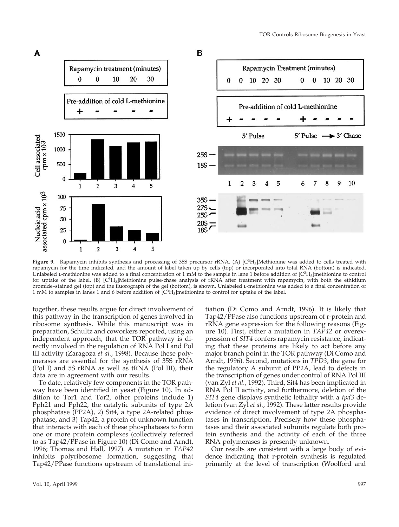

Figure 9. Rapamycin inhibits synthesis and processing of 35S precursor rRNA. (A) [C<sup>3</sup>H<sub>3</sub>]Methionine was added to cells treated with rapamycin for the time indicated, and the amount of label taken up by cells (top) or incorporated into total RNA (bottom) is indicated. Unlabeled *L*-methionine was added to a final concentration of 1 mM to the sample in lane 1 before addition of  $[C^3H_3]$ methionine to control for uptake of the label. (B) [C<sup>3</sup>H<sub>3</sub>]Methionine pulse-chase analysis of rRNA after treatment with rapamycin, with both the ethidium bromide–stained gel (top) and the fluorograph of the gel (bottom), is shown. Unlabeled l-methionine was added to a final concentration of 1 mM to samples in lanes 1 and 6 before addition of  $\text{[C}^3H_3\text{]}$  methionine to control for uptake of the label.

together, these results argue for direct involvement of this pathway in the transcription of genes involved in ribosome synthesis. While this manuscript was in preparation, Schultz and coworkers reported, using an independent approach, that the TOR pathway is directly involved in the regulation of RNA Pol I and Pol III activity (Zaragoza *et al.*, 1998). Because these polymerases are essential for the synthesis of 35S rRNA (Pol I) and 5S rRNA as well as tRNA (Pol III), their data are in agreement with our results.

To date, relatively few components in the TOR pathway have been identified in yeast (Figure 10). In addition to Tor1 and Tor2, other proteins include 1) Pph21 and Pph22, the catalytic subunits of type 2A phosphatase (PP2A), 2) Sit4, a type 2A-related phosphatase, and 3) Tap42, a protein of unknown function that interacts with each of these phosphatases to form one or more protein complexes (collectively referred to as Tap42/PPase in Figure 10) (Di Como and Arndt, 1996; Thomas and Hall, 1997). A mutation in *TAP42* inhibits polyribosome formation, suggesting that Tap42/PPase functions upstream of translational initiation (Di Como and Arndt, 1996). It is likely that Tap42/PPase also functions upstream of r-protein and rRNA gene expression for the following reasons (Figure 10). First, either a mutation in *TAP42* or overexpression of *SIT4* confers rapamycin resistance, indicating that these proteins are likely to act before any major branch point in the TOR pathway (Di Como and Arndt, 1996). Second, mutations in *TPD3*, the gene for the regulatory A subunit of PP2A, lead to defects in the transcription of genes under control of RNA Pol III (van Zyl *et al.*, 1992). Third, Sit4 has been implicated in RNA Pol II activity, and furthermore, deletion of the *SIT4* gene displays synthetic lethality with a *tpd3* deletion (van Zyl *et al.*, 1992). These latter results provide evidence of direct involvement of type 2A phosphatases in transcription. Precisely how these phosphatases and their associated subunits regulate both protein synthesis and the activity of each of the three RNA polymerases is presently unknown.

Our results are consistent with a large body of evidence indicating that r-protein synthesis is regulated primarily at the level of transcription (Woolford and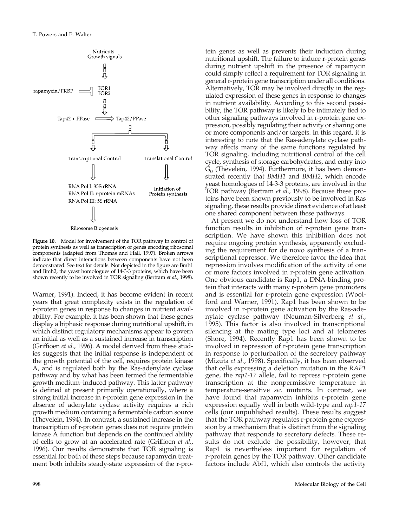

**Figure 10.** Model for involvement of the TOR pathway in control of protein synthesis as well as transcription of genes encoding ribosomal components (adapted from Thomas and Hall, 1997). Broken arrows indicate that direct interactions between components have not been demonstrated. See text for details. Not depicted in the figure are Bmh1 and Bmh2, the yeast homologues of 14-3-3 proteins, which have been shown recently to be involved in TOR signaling (Bertram *et al.*, 1998).

Warner, 1991). Indeed, it has become evident in recent years that great complexity exists in the regulation of r-protein genes in response to changes in nutrient availability. For example, it has been shown that these genes display a biphasic response during nutritional upshift, in which distinct regulatory mechanisms appear to govern an initial as well as a sustained increase in transcription (Griffioen *et al.*, 1996). A model derived from these studies suggests that the initial response is independent of the growth potential of the cell, requires protein kinase A, and is regulated both by the Ras-adenylate cyclase pathway and by what has been termed the fermentable growth medium–induced pathway. This latter pathway is defined at present primarily operationally, where a strong initial increase in r-protein gene expression in the absence of adenylate cyclase activity requires a rich growth medium containing a fermentable carbon source (Thevelein, 1994). In contrast, a sustained increase in the transcription of r-protein genes does not require protein kinase A function but depends on the continued ability of cells to grow at an accelerated rate (Griffioen *et al.*, 1996). Our results demonstrate that TOR signaling is essential for both of these steps because rapamycin treatment both inhibits steady-state expression of the r-protein genes as well as prevents their induction during nutritional upshift. The failure to induce r-protein genes during nutrient upshift in the presence of rapamycin could simply reflect a requirement for TOR signaling in general r-protein gene transcription under all conditions. Alternatively, TOR may be involved directly in the regulated expression of these genes in response to changes in nutrient availability. According to this second possibility, the TOR pathway is likely to be intimately tied to other signaling pathways involved in r-protein gene expression, possibly regulating their activity or sharing one or more components and/or targets. In this regard, it is interesting to note that the Ras-adenylate cyclase pathway affects many of the same functions regulated by TOR signaling, including nutritional control of the cell cycle, synthesis of storage carbohydrates, and entry into  $G<sub>0</sub>$  (Thevelein, 1994). Furthermore, it has been demonstrated recently that *BMH1* and *BMH2*, which encode yeast homologues of 14-3-3 proteins, are involved in the TOR pathway (Bertram *et al.*, 1998). Because these proteins have been shown previously to be involved in Ras signaling, these results provide direct evidence of at least one shared component between these pathways.

At present we do not understand how loss of TOR function results in inhibition of r-protein gene transcription. We have shown this inhibition does not require ongoing protein synthesis, apparently excluding the requirement for de novo synthesis of a transcriptional repressor. We therefore favor the idea that repression involves modification of the activity of one or more factors involved in r-protein gene activation. One obvious candidate is Rap1, a DNA-binding protein that interacts with many r-protein gene promoters and is essential for r-protein gene expression (Woolford and Warner, 1991). Rap1 has been shown to be involved in r-protein gene activation by the Ras-adenylate cyclase pathway (Neuman-Silverberg *et al.*, 1995). This factor is also involved in transcriptional silencing at the mating type loci and at telomeres (Shore, 1994). Recently Rap1 has been shown to be involved in repression of r-protein gene transcription in response to perturbation of the secretory pathway (Mizuta *et al.*, 1998). Specifically, it has been observed that cells expressing a deletion mutation in the *RAP1* gene, the *rap1-17* allele, fail to repress r-protein gene transcription at the nonpermissive temperature in temperature-sensitive *sec* mutants. In contrast, we have found that rapamycin inhibits r-protein gene expression equally well in both wild-type and *rap1-17* cells (our unpublished results). These results suggest that the TOR pathway regulates r-protein gene expression by a mechanism that is distinct from the signaling pathway that responds to secretory defects. These results do not exclude the possibility, however, that Rap1 is nevertheless important for regulation of r-protein genes by the TOR pathway. Other candidate factors include Abf1, which also controls the activity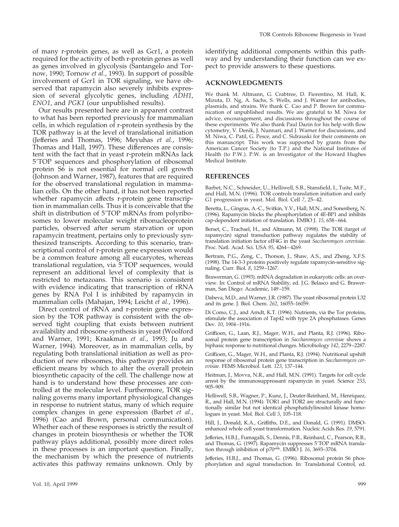of many r-protein genes, as well as Gcr1, a protein required for the activity of both r-protein genes as well as genes involved in glycolysis (Santangelo and Tornow, 1990; Tornow *et al.*, 1993). In support of possible involvement of Gcr1 in TOR signaling, we have observed that rapamycin also severely inhibits expression of several glycolytic genes, including *ADH1*, *ENO1*, and *PGK1* (our unpublished results).

Our results presented here are in apparent contrast to what has been reported previously for mammalian cells, in which regulation of r-protein synthesis by the TOR pathway is at the level of translational initiation (Jefferies and Thomas, 1996; Meyuhas *et al.*, 1996; Thomas and Hall, 1997). These differences are consistent with the fact that in yeast r-protein mRNAs lack 5'TOP sequences and phosphorylation of ribosomal protein S6 is not essential for normal cell growth (Johnson and Warner, 1987), features that are required for the observed translational regulation in mammalian cells. On the other hand, it has not been reported whether rapamycin affects r-protein gene transcription in mammalian cells. Thus it is conceivable that the shift in distribution of 5'TOP mRNAs from polyribosomes to lower molecular weight ribonucleoprotein particles, observed after serum starvation or upon rapamycin treatment, pertains only to previously synthesized transcripts. According to this scenario, transcriptional control of r-protein gene expression would be a common feature among all eucaryotes, whereas translational regulation, via 5'TOP sequences, would represent an additional level of complexity that is restricted to metazoans. This scenario is consistent with evidence indicating that transcription of rRNA genes by RNA Pol I is inhibited by rapamycin in mammalian cells (Mahajan, 1994; Leicht *et al.*, 1996).

Direct control of rRNA and r-protein gene expression by the TOR pathway is consistent with the observed tight coupling that exists between nutrient availability and ribosome synthesis in yeast (Woolford and Warner, 1991; Kraakman *et al.*, 1993; Ju and Warner, 1994). Moreover, as in mammalian cells, by regulating both translational initiation as well as production of new ribosomes, this pathway provides an efficient means by which to alter the overall protein biosynthetic capacity of the cell. The challenge now at hand is to understand how these processes are controlled at the molecular level. Furthermore, TOR signaling governs many important physiological changes in response to nutrient status, many of which require complex changes in gene expression (Barbet *et al.*, 1996) (Cao and Brown, personal communication). Whether each of these responses is strictly the result of changes in protein biosynthesis or whether the TOR pathway plays additional, possibly more direct roles in these processes is an important question. Finally, the mechanism by which the presence of nutrients activates this pathway remains unknown. Only by identifying additional components within this pathway and by understanding their function can we expect to provide answers to these questions.

# **ACKNOWLEDGMENTS**

We thank M. Altmann, G. Crabtree, D. Fiorentino, M. Hall, K. Mizuta, D. Ng, A. Sachs, S. Wells, and J. Warner for antibodies, plasmids, and strains. We thank C. Cao and P. Brown for communication of unpublished results. We are grateful to M. Niwa for advice, encouragement, and discussions throughout the course of these experiments. We also thank Paul Dazin for his help with flow cytometry, V. Denik, J. Nunnari, and J. Warner for discussions, and M. Niwa, C. Patil, G. Pesce, and C. Sidrauski for their comments on this manuscript. This work was supported by grants from the American Cancer Society (to T.P.) and the National Institutes of Health (to P.W.). P.W. is an Investigator of the Howard Hughes Medical Institute.

### **REFERENCES**

Barbet, N.C., Schneider, U., Helliwell, S.B., Stansfield, I., Tuite, M.F., and Hall, M.N. (1996). TOR controls translation initiation and early G1 progression in yeast. Mol. Biol. Cell *7*, 25–42.

Beretta, L., Gingras, A.-C., Svitkin, Y.V., Hall, M.N., and Sonenberg, N. (1996). Rapamycin blocks the phosphorylation of 4E-BP1 and inhibits cap-dependent initiation of translation. EMBO J. *15*, 658–664.

Berset, C., Trachsel, H., and Altmann, M. (1998). The TOR (target of rapamycin) signal transduction pathway regulates the stability of translation initiation factor eIF4G in the yeast *Saccharomyces cerevisiae*. Proc. Natl. Acad. Sci. USA *95*, 4264–4269.

Bertram, P.G., Zeng, C., Thorson, J., Shaw, A.S., and Zheng, X.F.S. (1998). The 14-3-3 proteins positively regulate rapamycin-sensitive signaling. Curr. Biol. *8*, 1259–1267.

Brawerman, G. (1993). mRNA degradation in eukaryotic cells: an overview. In: Control of mRNA Stability, ed. J.G. Belasco and G. Brawerman, San Diego: Academic, 149–159.

Dabeva, M.D., and Warner, J.R. (1987). The yeast ribosomal protein L32 and its gene. J. Biol. Chem. *262*, 16055–16059.

Di Como, C.J., and Arndt, K.T. (1996). Nutrients, via the Tor proteins, stimulate the association of Tap42 with type 2A phosphatases. Genes Dev. *10*, 1904–1916.

Griffioen, G., Laan, R.J., Mager, W.H., and Planta, R.J. (1996). Ribosomal protein gene transcription in *Saccharomyces cerevisiae* shows a biphasic response to nutritional changes. Microbiology *142*, 2279–2287.

Griffioen, G., Mager, W.H., and Planta, R.J. (1994). Nutritional upshift response of ribosomal protein gene transcription in *Saccharomyces cerevisiae*. FEMS Microbiol. Lett. *123*, 137–144.

Heitman, J., Movva, N.R., and Hall, M.N. (1991). Targets for cell cycle arrest by the immunosuppressant rapamycin in yeast. Science *253*, 905–909.

Helliwell, S.B., Wagner, P., Kunz, J., Deuter-Reinhard, M., Henriquez, R., and Hall, M.N. (1994). TOR1 and TOR2 are structurally and functionally similar but not identical phosphatidylinositol kinase homologues in yeast. Mol. Biol. Cell *5*, 105–118.

Hill, J., Donald, K.A., Griffiths, D.E., and Donald, G. (1991). DMSOenhanced whole cell yeast transformation. Nucleic Acids Res. *19*, 5791.

Jefferies, H.B.J., Fumagalli, S., Dennis, P.B., Reinhard, C., Pearson, R.B., and Thomas, G. (1997). Rapamycin suppresses 5'TOP mRNA translation through inhibition of p70s6k. EMBO J. *16*, 3693–3704.

Jefferies, H.B.J., and Thomas, G. (1996). Ribosomal protein S6 phosphorylation and signal transduction. In: Translational Control, ed.